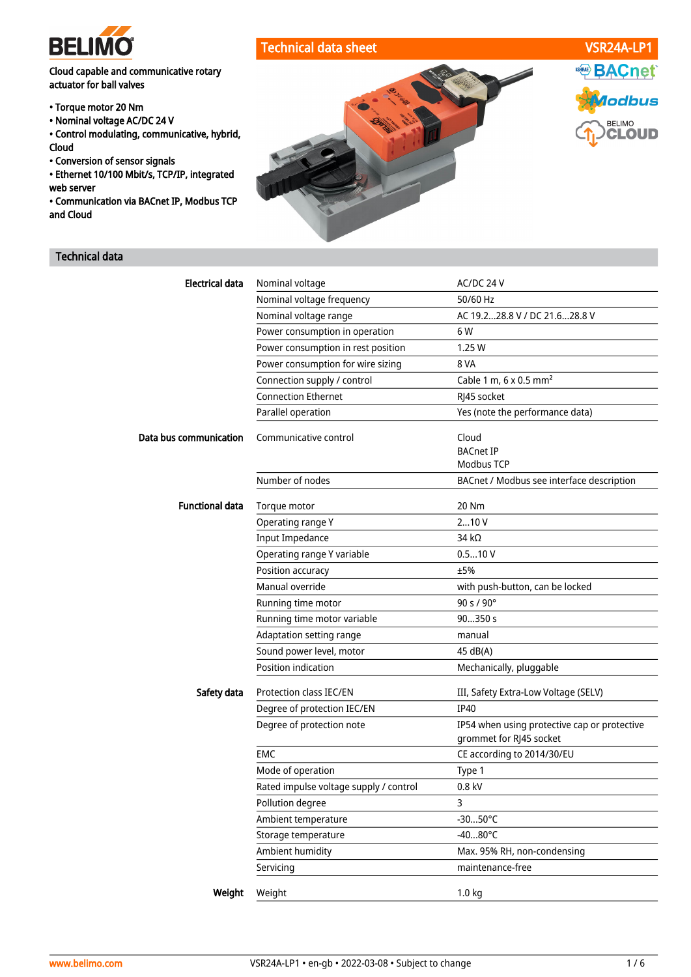

# Cloud capable and communicative rotary actuator for ball valves

- Torque motor 20 Nm
- Nominal voltage AC/DC 24 V
- Control modulating, communicative, hybrid, Cloud
- Conversion of sensor signals
- Ethernet 10/100 Mbit/s, TCP/IP, integrated web server
- Communication via BACnet IP, Modbus TCP and Cloud

# Technical data



| <b>Electrical data</b> | Nominal voltage                        | AC/DC 24 V                                                              |
|------------------------|----------------------------------------|-------------------------------------------------------------------------|
|                        | Nominal voltage frequency              | 50/60 Hz                                                                |
|                        | Nominal voltage range                  | AC 19.228.8 V / DC 21.628.8 V                                           |
|                        | Power consumption in operation         | 6 W                                                                     |
|                        | Power consumption in rest position     | 1.25W                                                                   |
|                        | Power consumption for wire sizing      | 8 VA                                                                    |
|                        | Connection supply / control            | Cable 1 m, $6 \times 0.5$ mm <sup>2</sup>                               |
|                        | <b>Connection Ethernet</b>             | RJ45 socket                                                             |
|                        | Parallel operation                     | Yes (note the performance data)                                         |
| Data bus communication | Communicative control                  | Cloud                                                                   |
|                        |                                        | <b>BACnet IP</b>                                                        |
|                        |                                        | <b>Modbus TCP</b>                                                       |
|                        | Number of nodes                        | BACnet / Modbus see interface description                               |
| <b>Functional data</b> | Torque motor                           | 20 Nm                                                                   |
|                        | Operating range Y                      | 210V                                                                    |
|                        | <b>Input Impedance</b>                 | 34 $k\Omega$                                                            |
|                        | Operating range Y variable             | 0.510V                                                                  |
|                        | Position accuracy                      | ±5%                                                                     |
|                        | Manual override                        | with push-button, can be locked                                         |
|                        | Running time motor                     | 90 s / 90°                                                              |
|                        | Running time motor variable            | 90350 s                                                                 |
|                        | Adaptation setting range               | manual                                                                  |
|                        | Sound power level, motor               | 45 dB(A)                                                                |
|                        | <b>Position indication</b>             | Mechanically, pluggable                                                 |
| Safety data            | Protection class IEC/EN                | III, Safety Extra-Low Voltage (SELV)                                    |
|                        | Degree of protection IEC/EN            | <b>IP40</b>                                                             |
|                        | Degree of protection note              | IP54 when using protective cap or protective<br>grommet for RJ45 socket |
|                        | EMC                                    | CE according to 2014/30/EU                                              |
|                        | Mode of operation                      | Type 1                                                                  |
|                        | Rated impulse voltage supply / control | $0.8$ kV                                                                |
|                        | Pollution degree                       | 3                                                                       |
|                        | Ambient temperature                    | $-3050^{\circ}C$                                                        |
|                        | Storage temperature                    | $-4080^{\circ}$ C                                                       |
|                        | Ambient humidity                       | Max. 95% RH, non-condensing                                             |
|                        | Servicing                              | maintenance-free                                                        |
|                        |                                        |                                                                         |
| Weight                 | Weight                                 | 1.0 kg                                                                  |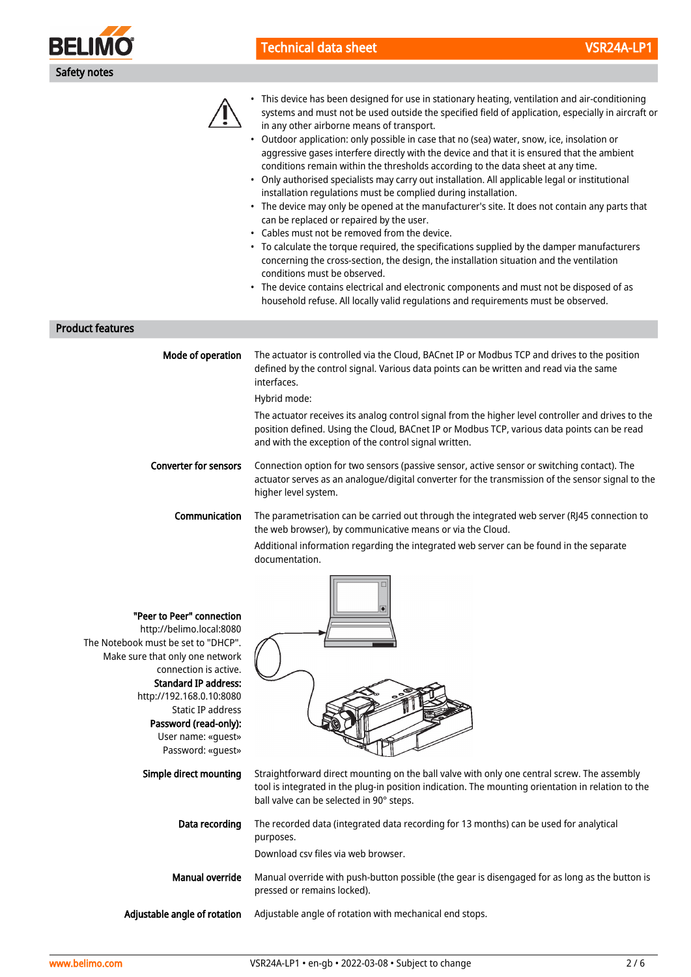

# Technical data sheet VSR24A-LP1



• This device has been designed for use in stationary heating, ventilation and air-conditioning systems and must not be used outside the specified field of application, especially in aircraft or in any other airborne means of transport.

- Outdoor application: only possible in case that no (sea) water, snow, ice, insolation or aggressive gases interfere directly with the device and that it is ensured that the ambient conditions remain within the thresholds according to the data sheet at any time.
- Only authorised specialists may carry out installation. All applicable legal or institutional installation regulations must be complied during installation.
- The device may only be opened at the manufacturer's site. It does not contain any parts that can be replaced or repaired by the user.
- Cables must not be removed from the device.
- To calculate the torque required, the specifications supplied by the damper manufacturers concerning the cross-section, the design, the installation situation and the ventilation conditions must be observed.
- The device contains electrical and electronic components and must not be disposed of as household refuse. All locally valid regulations and requirements must be observed.

#### Product features

| Mode of operation            | The actuator is controlled via the Cloud, BACnet IP or Modbus TCP and drives to the position<br>defined by the control signal. Various data points can be written and read via the same<br>interfaces.                                                     |
|------------------------------|------------------------------------------------------------------------------------------------------------------------------------------------------------------------------------------------------------------------------------------------------------|
|                              | Hybrid mode:                                                                                                                                                                                                                                               |
|                              | The actuator receives its analog control signal from the higher level controller and drives to the<br>position defined. Using the Cloud, BACnet IP or Modbus TCP, various data points can be read<br>and with the exception of the control signal written. |
| <b>Converter for sensors</b> | Connection option for two sensors (passive sensor, active sensor or switching contact). The<br>actuator serves as an analogue/digital converter for the transmission of the sensor signal to the<br>higher level system.                                   |
| Communication                | The parametrisation can be carried out through the integrated web server (RJ45 connection to<br>the web browser), by communicative means or via the Cloud.                                                                                                 |
|                              | A didicitation of the Common action common and a control that the common and common common and the above common                                                                                                                                            |

Additional information regarding the integrated web server can be found in the separate documentation.

| "Peer to Peer" connection<br>http://belimo.local:8080<br>The Notebook must be set to "DHCP".<br>Make sure that only one network<br>connection is active.<br><b>Standard IP address:</b><br>http://192.168.0.10:8080<br>Static IP address<br>Password (read-only):<br>User name: «quest»<br>Password: «quest» |                                                                                                                                                                                                                                               |
|--------------------------------------------------------------------------------------------------------------------------------------------------------------------------------------------------------------------------------------------------------------------------------------------------------------|-----------------------------------------------------------------------------------------------------------------------------------------------------------------------------------------------------------------------------------------------|
| Simple direct mounting                                                                                                                                                                                                                                                                                       | Straightforward direct mounting on the ball valve with only one central screw. The assembly<br>tool is integrated in the plug-in position indication. The mounting orientation in relation to the<br>ball valve can be selected in 90° steps. |
| Data recording                                                                                                                                                                                                                                                                                               | The recorded data (integrated data recording for 13 months) can be used for analytical<br>purposes.<br>Download csy files via web browser.                                                                                                    |
| <b>Manual override</b>                                                                                                                                                                                                                                                                                       | Manual override with push-button possible (the gear is disengaged for as long as the button is<br>pressed or remains locked).                                                                                                                 |
| Adjustable angle of rotation                                                                                                                                                                                                                                                                                 | Adjustable angle of rotation with mechanical end stops.                                                                                                                                                                                       |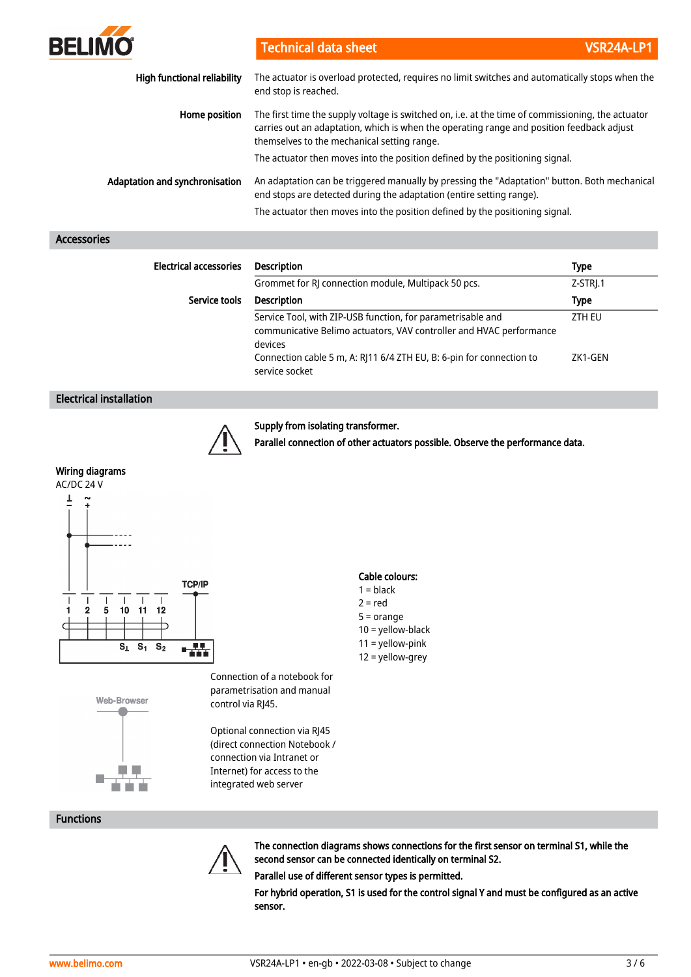| <b>BELIMO</b>                      | <b>Technical data sheet</b>                                                                                                                                                                                                                   | VSR24A-LP1 |
|------------------------------------|-----------------------------------------------------------------------------------------------------------------------------------------------------------------------------------------------------------------------------------------------|------------|
| <b>High functional reliability</b> | The actuator is overload protected, requires no limit switches and automatically stops when the<br>end stop is reached.                                                                                                                       |            |
| Home position                      | The first time the supply voltage is switched on, i.e. at the time of commissioning, the actuator<br>carries out an adaptation, which is when the operating range and position feedback adjust<br>themselves to the mechanical setting range. |            |
|                                    | The actuator then moves into the position defined by the positioning signal.                                                                                                                                                                  |            |
| Adaptation and synchronisation     | An adaptation can be triggered manually by pressing the "Adaptation" button. Both mechanical<br>end stops are detected during the adaptation (entire setting range).                                                                          |            |
|                                    | The actuator then moves into the position defined by the positioning signal.                                                                                                                                                                  |            |

## Accessories

| <b>Electrical accessories</b> | <b>Description</b>                                                                                                                            | <b>Type</b> |
|-------------------------------|-----------------------------------------------------------------------------------------------------------------------------------------------|-------------|
|                               | Grommet for RJ connection module, Multipack 50 pcs.                                                                                           | Z-STRJ.1    |
| Service tools                 | <b>Description</b>                                                                                                                            | <b>Type</b> |
|                               | Service Tool, with ZIP-USB function, for parametrisable and<br>communicative Belimo actuators, VAV controller and HVAC performance<br>devices | ZTH EU      |
|                               | Connection cable 5 m, A: RJ11 6/4 ZTH EU, B: 6-pin for connection to<br>service socket                                                        | ZK1-GEN     |

## Electrical installation



#### Supply from isolating transformer.

Parallel connection of other actuators possible. Observe the performance data.

## Wiring diagrams





Connection of a notebook for parametrisation and manual control via RJ45.

Optional connection via RJ45 (direct connection Notebook / connection via Intranet or Internet) for access to the integrated web server

## Cable colours:

- $1 = **black**$
- $2 = red$
- 5 = orange
- 10 = yellow-black 11 = yellow-pink
- 12 = yellow-grey



The connection diagrams shows connections for the first sensor on terminal S1, while the second sensor can be connected identically on terminal S2.

Parallel use of different sensor types is permitted.

For hybrid operation, S1 is used for the control signal Y and must be configured as an active sensor.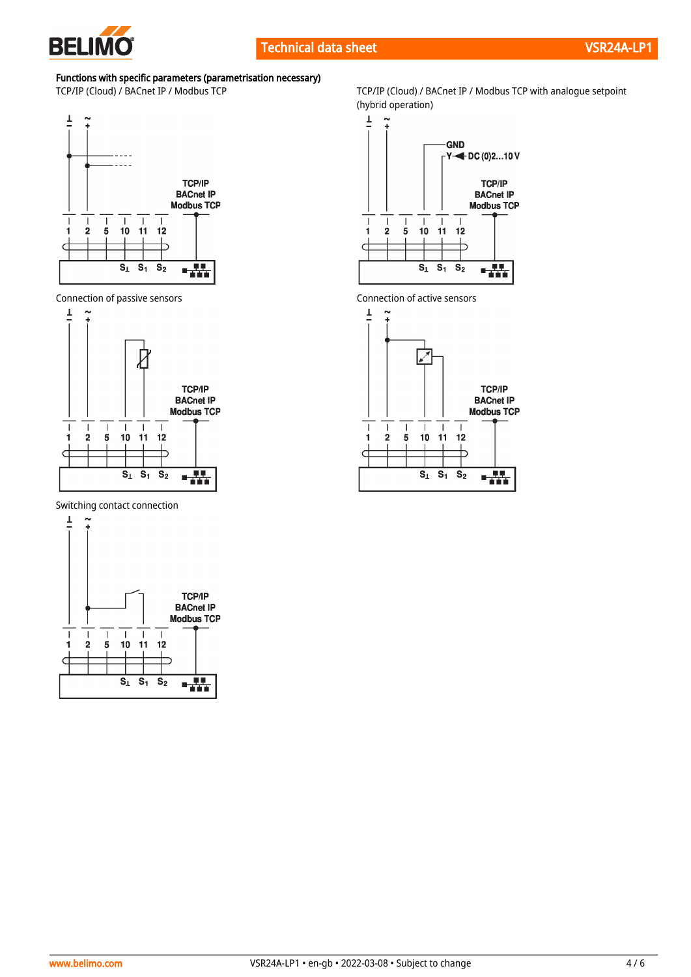

# Functions with specific parameters (parametrisation necessary)



Connection of passive sensors Connection of active sensors



Switching contact connection



TCP/IP (Cloud) / BACnet IP / Modbus TCP TCP/IP (Cloud) / BACnet IP / Modbus TCP with analogue setpoint (hybrid operation)



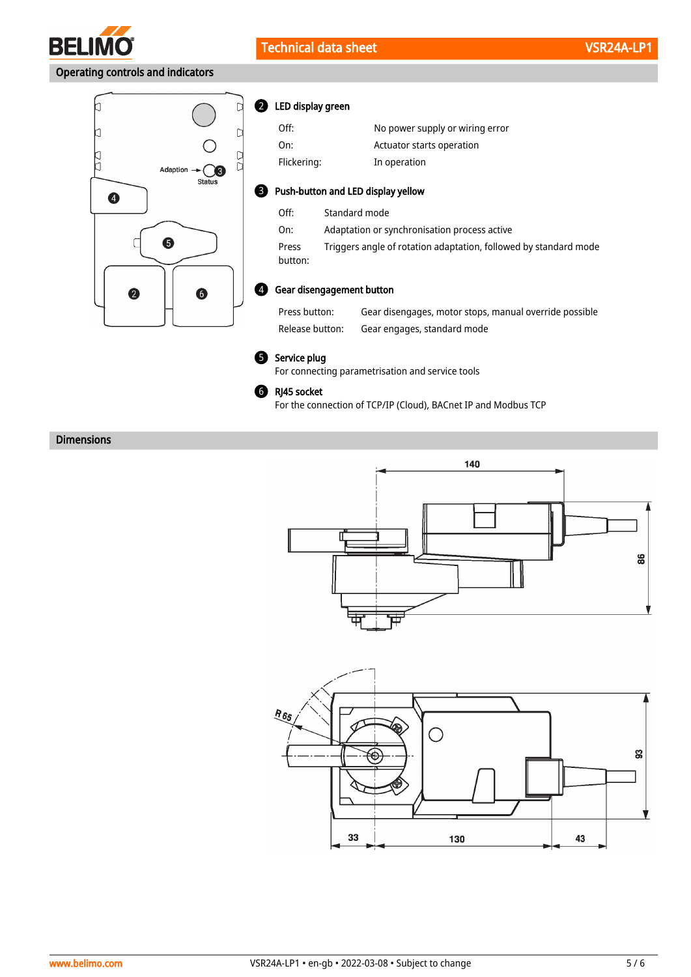

2

# Operating controls and indicators



| LED display green |        |
|-------------------|--------|
| ∩ff∙              | No now |

| Off:        | No power supply or wiring error |
|-------------|---------------------------------|
| On:         | Actuator starts operation       |
| Flickering: | In operation                    |

#### **B** Push-button and LED display yellow

| Off:             | Standard mode                                                    |
|------------------|------------------------------------------------------------------|
| On:              | Adaptation or synchronisation process active                     |
| Press<br>button: | Triggers angle of rotation adaptation, followed by standard mode |

### Gear disengagement button 4

Press button: Gear disengages, motor stops, manual override possible Release button: Gear engages, standard mode



#### **5** Service plug

For connecting parametrisation and service tools



For the connection of TCP/IP (Cloud), BACnet IP and Modbus TCP

## Dimensions